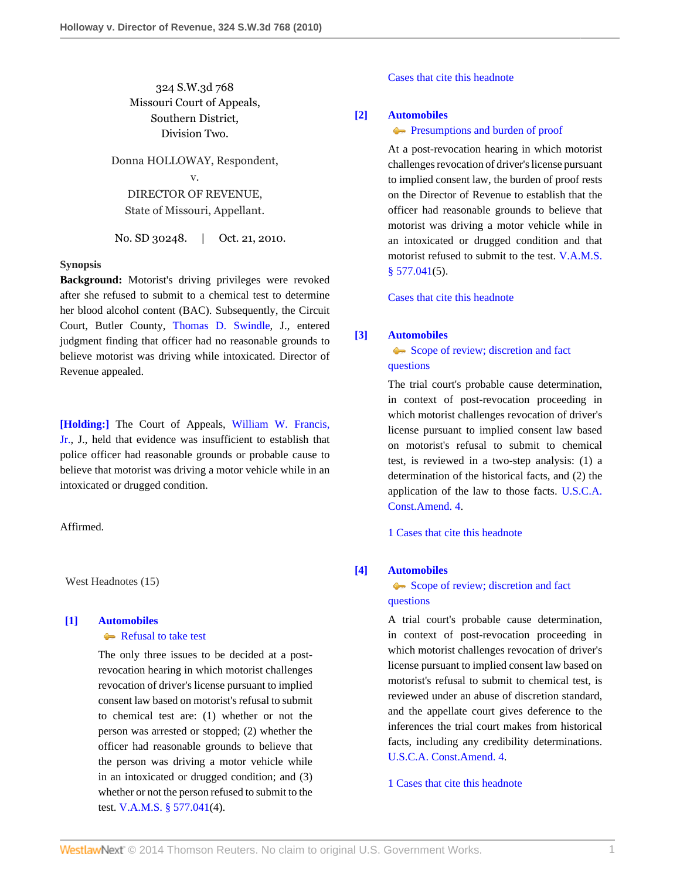# 324 S.W.3d 768 Missouri Court of Appeals, Southern District, Division Two.

Donna HOLLOWAY, Respondent, v. DIRECTOR OF REVENUE, State of Missouri, Appellant.

No. SD 30248. | Oct. 21, 2010.

# **Synopsis**

**Background:** Motorist's driving privileges were revoked after she refused to submit to a chemical test to determine her blood alcohol content (BAC). Subsequently, the Circuit Court, Butler County, [Thomas D. Swindle](http://www.westlaw.com/Link/Document/FullText?findType=h&pubNum=176284&cite=0243396301&originatingDoc=Ie18cca89e0e411df84cb933efb759da4&refType=RQ&originationContext=document&vr=3.0&rs=cblt1.0&transitionType=DocumentItem&contextData=(sc.Search)), J., entered judgment finding that officer had no reasonable grounds to believe motorist was driving while intoxicated. Director of Revenue appealed.

**[\[Holding:\]](#page-1-0)** The Court of Appeals, [William W. Francis,](http://www.westlaw.com/Link/Document/FullText?findType=h&pubNum=176284&cite=0127991001&originatingDoc=Ie18cca89e0e411df84cb933efb759da4&refType=RQ&originationContext=document&vr=3.0&rs=cblt1.0&transitionType=DocumentItem&contextData=(sc.Search)) [Jr.,](http://www.westlaw.com/Link/Document/FullText?findType=h&pubNum=176284&cite=0127991001&originatingDoc=Ie18cca89e0e411df84cb933efb759da4&refType=RQ&originationContext=document&vr=3.0&rs=cblt1.0&transitionType=DocumentItem&contextData=(sc.Search)) J., held that evidence was insufficient to establish that police officer had reasonable grounds or probable cause to believe that motorist was driving a motor vehicle while in an intoxicated or drugged condition.

### Affirmed.

West Headnotes (15)

# <span id="page-0-0"></span>**[\[1\]](#page-4-0) [Automobiles](http://www.westlaw.com/Browse/Home/KeyNumber/48A/View.html?docGuid=Ie18cca89e0e411df84cb933efb759da4&originationContext=document&vr=3.0&rs=cblt1.0&transitionType=DocumentItem&contextData=(sc.Search))**

### [Refusal to take test](http://www.westlaw.com/Browse/Home/KeyNumber/48Ak144.1(1.20)/View.html?docGuid=Ie18cca89e0e411df84cb933efb759da4&originationContext=document&vr=3.0&rs=cblt1.0&transitionType=DocumentItem&contextData=(sc.Search))

The only three issues to be decided at a postrevocation hearing in which motorist challenges revocation of driver's license pursuant to implied consent law based on motorist's refusal to submit to chemical test are: (1) whether or not the person was arrested or stopped; (2) whether the officer had reasonable grounds to believe that the person was driving a motor vehicle while in an intoxicated or drugged condition; and (3) whether or not the person refused to submit to the test. [V.A.M.S. § 577.041\(](http://www.westlaw.com/Link/Document/FullText?findType=L&pubNum=1000229&cite=MOST577.041&originatingDoc=Ie18cca89e0e411df84cb933efb759da4&refType=LQ&originationContext=document&vr=3.0&rs=cblt1.0&transitionType=DocumentItem&contextData=(sc.Search))4).

[Cases that cite this headnote](http://www.westlaw.com/Link/RelatedInformation/DocHeadnoteLink?docGuid=Ie18cca89e0e411df84cb933efb759da4&headnoteId=202346781100120110206132609&originationContext=document&vr=3.0&rs=cblt1.0&transitionType=CitingReferences&contextData=(sc.Search))

### <span id="page-0-1"></span>**[\[2\]](#page-4-1) [Automobiles](http://www.westlaw.com/Browse/Home/KeyNumber/48A/View.html?docGuid=Ie18cca89e0e411df84cb933efb759da4&originationContext=document&vr=3.0&rs=cblt1.0&transitionType=DocumentItem&contextData=(sc.Search))**

#### **[Presumptions and burden of proof](http://www.westlaw.com/Browse/Home/KeyNumber/48Ak144.2(9.6)/View.html?docGuid=Ie18cca89e0e411df84cb933efb759da4&originationContext=document&vr=3.0&rs=cblt1.0&transitionType=DocumentItem&contextData=(sc.Search))**

At a post-revocation hearing in which motorist challenges revocation of driver's license pursuant to implied consent law, the burden of proof rests on the Director of Revenue to establish that the officer had reasonable grounds to believe that motorist was driving a motor vehicle while in an intoxicated or drugged condition and that motorist refused to submit to the test. [V.A.M.S.](http://www.westlaw.com/Link/Document/FullText?findType=L&pubNum=1000229&cite=MOST577.041&originatingDoc=Ie18cca89e0e411df84cb933efb759da4&refType=LQ&originationContext=document&vr=3.0&rs=cblt1.0&transitionType=DocumentItem&contextData=(sc.Search))  $§$  577.041(5).

[Cases that cite this headnote](http://www.westlaw.com/Link/RelatedInformation/DocHeadnoteLink?docGuid=Ie18cca89e0e411df84cb933efb759da4&headnoteId=202346781100220110206132609&originationContext=document&vr=3.0&rs=cblt1.0&transitionType=CitingReferences&contextData=(sc.Search))

# <span id="page-0-2"></span>**[\[3\]](#page-4-2) [Automobiles](http://www.westlaw.com/Browse/Home/KeyNumber/48A/View.html?docGuid=Ie18cca89e0e411df84cb933efb759da4&originationContext=document&vr=3.0&rs=cblt1.0&transitionType=DocumentItem&contextData=(sc.Search))**

[Scope of review; discretion and fact](http://www.westlaw.com/Browse/Home/KeyNumber/48Ak144.2(3)/View.html?docGuid=Ie18cca89e0e411df84cb933efb759da4&originationContext=document&vr=3.0&rs=cblt1.0&transitionType=DocumentItem&contextData=(sc.Search)) [questions](http://www.westlaw.com/Browse/Home/KeyNumber/48Ak144.2(3)/View.html?docGuid=Ie18cca89e0e411df84cb933efb759da4&originationContext=document&vr=3.0&rs=cblt1.0&transitionType=DocumentItem&contextData=(sc.Search))

The trial court's probable cause determination, in context of post-revocation proceeding in which motorist challenges revocation of driver's license pursuant to implied consent law based on motorist's refusal to submit to chemical test, is reviewed in a two-step analysis: (1) a determination of the historical facts, and (2) the application of the law to those facts. [U.S.C.A.](http://www.westlaw.com/Link/Document/FullText?findType=L&pubNum=1000546&cite=USCOAMENDIV&originatingDoc=Ie18cca89e0e411df84cb933efb759da4&refType=LQ&originationContext=document&vr=3.0&rs=cblt1.0&transitionType=DocumentItem&contextData=(sc.Search)) [Const.Amend. 4.](http://www.westlaw.com/Link/Document/FullText?findType=L&pubNum=1000546&cite=USCOAMENDIV&originatingDoc=Ie18cca89e0e411df84cb933efb759da4&refType=LQ&originationContext=document&vr=3.0&rs=cblt1.0&transitionType=DocumentItem&contextData=(sc.Search))

[1 Cases that cite this headnote](http://www.westlaw.com/Link/RelatedInformation/DocHeadnoteLink?docGuid=Ie18cca89e0e411df84cb933efb759da4&headnoteId=202346781100320110206132609&originationContext=document&vr=3.0&rs=cblt1.0&transitionType=CitingReferences&contextData=(sc.Search))

# <span id="page-0-3"></span>**[\[4\]](#page-4-3) [Automobiles](http://www.westlaw.com/Browse/Home/KeyNumber/48A/View.html?docGuid=Ie18cca89e0e411df84cb933efb759da4&originationContext=document&vr=3.0&rs=cblt1.0&transitionType=DocumentItem&contextData=(sc.Search))**

# [Scope of review; discretion and fact](http://www.westlaw.com/Browse/Home/KeyNumber/48Ak144.2(3)/View.html?docGuid=Ie18cca89e0e411df84cb933efb759da4&originationContext=document&vr=3.0&rs=cblt1.0&transitionType=DocumentItem&contextData=(sc.Search)) [questions](http://www.westlaw.com/Browse/Home/KeyNumber/48Ak144.2(3)/View.html?docGuid=Ie18cca89e0e411df84cb933efb759da4&originationContext=document&vr=3.0&rs=cblt1.0&transitionType=DocumentItem&contextData=(sc.Search))

A trial court's probable cause determination, in context of post-revocation proceeding in which motorist challenges revocation of driver's license pursuant to implied consent law based on motorist's refusal to submit to chemical test, is reviewed under an abuse of discretion standard, and the appellate court gives deference to the inferences the trial court makes from historical facts, including any credibility determinations. [U.S.C.A. Const.Amend. 4.](http://www.westlaw.com/Link/Document/FullText?findType=L&pubNum=1000546&cite=USCOAMENDIV&originatingDoc=Ie18cca89e0e411df84cb933efb759da4&refType=LQ&originationContext=document&vr=3.0&rs=cblt1.0&transitionType=DocumentItem&contextData=(sc.Search))

[1 Cases that cite this headnote](http://www.westlaw.com/Link/RelatedInformation/DocHeadnoteLink?docGuid=Ie18cca89e0e411df84cb933efb759da4&headnoteId=202346781100420110206132609&originationContext=document&vr=3.0&rs=cblt1.0&transitionType=CitingReferences&contextData=(sc.Search))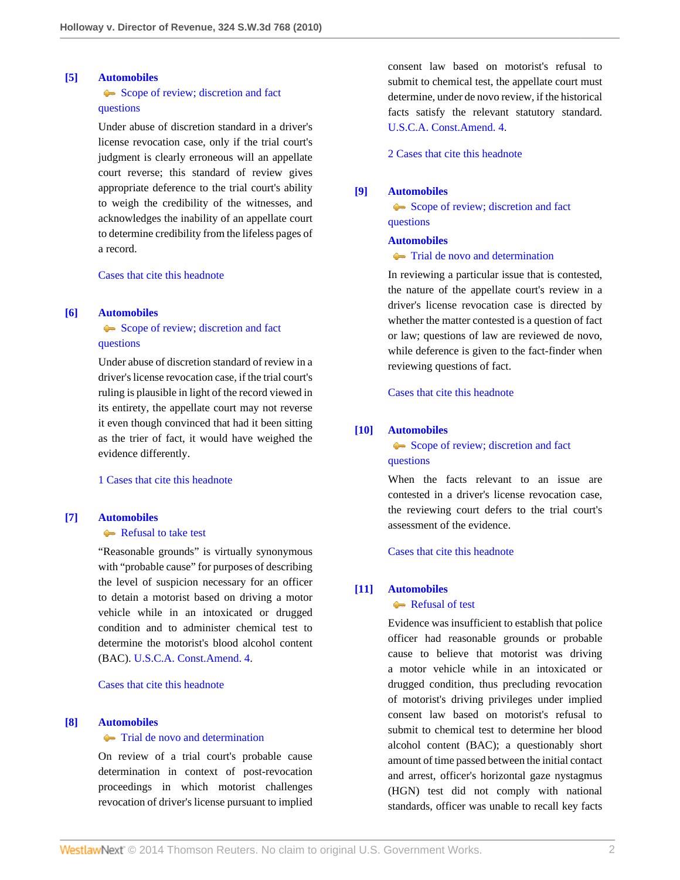### <span id="page-1-1"></span>**[\[5\]](#page-4-4) [Automobiles](http://www.westlaw.com/Browse/Home/KeyNumber/48A/View.html?docGuid=Ie18cca89e0e411df84cb933efb759da4&originationContext=document&vr=3.0&rs=cblt1.0&transitionType=DocumentItem&contextData=(sc.Search))**

# [Scope of review; discretion and fact](http://www.westlaw.com/Browse/Home/KeyNumber/48Ak144.2(3)/View.html?docGuid=Ie18cca89e0e411df84cb933efb759da4&originationContext=document&vr=3.0&rs=cblt1.0&transitionType=DocumentItem&contextData=(sc.Search)) [questions](http://www.westlaw.com/Browse/Home/KeyNumber/48Ak144.2(3)/View.html?docGuid=Ie18cca89e0e411df84cb933efb759da4&originationContext=document&vr=3.0&rs=cblt1.0&transitionType=DocumentItem&contextData=(sc.Search))

Under abuse of discretion standard in a driver's license revocation case, only if the trial court's judgment is clearly erroneous will an appellate court reverse; this standard of review gives appropriate deference to the trial court's ability to weigh the credibility of the witnesses, and acknowledges the inability of an appellate court to determine credibility from the lifeless pages of a record.

[Cases that cite this headnote](http://www.westlaw.com/Link/RelatedInformation/DocHeadnoteLink?docGuid=Ie18cca89e0e411df84cb933efb759da4&headnoteId=202346781100520110206132609&originationContext=document&vr=3.0&rs=cblt1.0&transitionType=CitingReferences&contextData=(sc.Search))

# <span id="page-1-2"></span>**[\[6\]](#page-4-5) [Automobiles](http://www.westlaw.com/Browse/Home/KeyNumber/48A/View.html?docGuid=Ie18cca89e0e411df84cb933efb759da4&originationContext=document&vr=3.0&rs=cblt1.0&transitionType=DocumentItem&contextData=(sc.Search))**

# [Scope of review; discretion and fact](http://www.westlaw.com/Browse/Home/KeyNumber/48Ak144.2(3)/View.html?docGuid=Ie18cca89e0e411df84cb933efb759da4&originationContext=document&vr=3.0&rs=cblt1.0&transitionType=DocumentItem&contextData=(sc.Search)) [questions](http://www.westlaw.com/Browse/Home/KeyNumber/48Ak144.2(3)/View.html?docGuid=Ie18cca89e0e411df84cb933efb759da4&originationContext=document&vr=3.0&rs=cblt1.0&transitionType=DocumentItem&contextData=(sc.Search))

Under abuse of discretion standard of review in a driver's license revocation case, if the trial court's ruling is plausible in light of the record viewed in its entirety, the appellate court may not reverse it even though convinced that had it been sitting as the trier of fact, it would have weighed the evidence differently.

[1 Cases that cite this headnote](http://www.westlaw.com/Link/RelatedInformation/DocHeadnoteLink?docGuid=Ie18cca89e0e411df84cb933efb759da4&headnoteId=202346781100620110206132609&originationContext=document&vr=3.0&rs=cblt1.0&transitionType=CitingReferences&contextData=(sc.Search))

### <span id="page-1-3"></span>**[\[7\]](#page-4-6) [Automobiles](http://www.westlaw.com/Browse/Home/KeyNumber/48A/View.html?docGuid=Ie18cca89e0e411df84cb933efb759da4&originationContext=document&vr=3.0&rs=cblt1.0&transitionType=DocumentItem&contextData=(sc.Search))**

### [Refusal to take test](http://www.westlaw.com/Browse/Home/KeyNumber/48Ak144.1(1.20)/View.html?docGuid=Ie18cca89e0e411df84cb933efb759da4&originationContext=document&vr=3.0&rs=cblt1.0&transitionType=DocumentItem&contextData=(sc.Search))

"Reasonable grounds" is virtually synonymous with "probable cause" for purposes of describing the level of suspicion necessary for an officer to detain a motorist based on driving a motor vehicle while in an intoxicated or drugged condition and to administer chemical test to determine the motorist's blood alcohol content (BAC). [U.S.C.A. Const.Amend. 4](http://www.westlaw.com/Link/Document/FullText?findType=L&pubNum=1000546&cite=USCOAMENDIV&originatingDoc=Ie18cca89e0e411df84cb933efb759da4&refType=LQ&originationContext=document&vr=3.0&rs=cblt1.0&transitionType=DocumentItem&contextData=(sc.Search)).

[Cases that cite this headnote](http://www.westlaw.com/Link/RelatedInformation/DocHeadnoteLink?docGuid=Ie18cca89e0e411df84cb933efb759da4&headnoteId=202346781100720110206132609&originationContext=document&vr=3.0&rs=cblt1.0&transitionType=CitingReferences&contextData=(sc.Search))

# <span id="page-1-4"></span>**[\[8\]](#page-4-7) [Automobiles](http://www.westlaw.com/Browse/Home/KeyNumber/48A/View.html?docGuid=Ie18cca89e0e411df84cb933efb759da4&originationContext=document&vr=3.0&rs=cblt1.0&transitionType=DocumentItem&contextData=(sc.Search))**

#### **[Trial de novo and determination](http://www.westlaw.com/Browse/Home/KeyNumber/48Ak144.2(4)/View.html?docGuid=Ie18cca89e0e411df84cb933efb759da4&originationContext=document&vr=3.0&rs=cblt1.0&transitionType=DocumentItem&contextData=(sc.Search))**

On review of a trial court's probable cause determination in context of post-revocation proceedings in which motorist challenges revocation of driver's license pursuant to implied consent law based on motorist's refusal to submit to chemical test, the appellate court must determine, under de novo review, if the historical facts satisfy the relevant statutory standard. [U.S.C.A. Const.Amend. 4.](http://www.westlaw.com/Link/Document/FullText?findType=L&pubNum=1000546&cite=USCOAMENDIV&originatingDoc=Ie18cca89e0e411df84cb933efb759da4&refType=LQ&originationContext=document&vr=3.0&rs=cblt1.0&transitionType=DocumentItem&contextData=(sc.Search))

[2 Cases that cite this headnote](http://www.westlaw.com/Link/RelatedInformation/DocHeadnoteLink?docGuid=Ie18cca89e0e411df84cb933efb759da4&headnoteId=202346781100820110206132609&originationContext=document&vr=3.0&rs=cblt1.0&transitionType=CitingReferences&contextData=(sc.Search))

# <span id="page-1-5"></span>**[\[9\]](#page-4-8) [Automobiles](http://www.westlaw.com/Browse/Home/KeyNumber/48A/View.html?docGuid=Ie18cca89e0e411df84cb933efb759da4&originationContext=document&vr=3.0&rs=cblt1.0&transitionType=DocumentItem&contextData=(sc.Search))**

[Scope of review; discretion and fact](http://www.westlaw.com/Browse/Home/KeyNumber/48Ak144.2(3)/View.html?docGuid=Ie18cca89e0e411df84cb933efb759da4&originationContext=document&vr=3.0&rs=cblt1.0&transitionType=DocumentItem&contextData=(sc.Search)) [questions](http://www.westlaw.com/Browse/Home/KeyNumber/48Ak144.2(3)/View.html?docGuid=Ie18cca89e0e411df84cb933efb759da4&originationContext=document&vr=3.0&rs=cblt1.0&transitionType=DocumentItem&contextData=(sc.Search))

#### **[Automobiles](http://www.westlaw.com/Browse/Home/KeyNumber/48A/View.html?docGuid=Ie18cca89e0e411df84cb933efb759da4&originationContext=document&vr=3.0&rs=cblt1.0&transitionType=DocumentItem&contextData=(sc.Search))**

# **[Trial de novo and determination](http://www.westlaw.com/Browse/Home/KeyNumber/48Ak144.2(4)/View.html?docGuid=Ie18cca89e0e411df84cb933efb759da4&originationContext=document&vr=3.0&rs=cblt1.0&transitionType=DocumentItem&contextData=(sc.Search))**

In reviewing a particular issue that is contested, the nature of the appellate court's review in a driver's license revocation case is directed by whether the matter contested is a question of fact or law; questions of law are reviewed de novo, while deference is given to the fact-finder when reviewing questions of fact.

[Cases that cite this headnote](http://www.westlaw.com/Link/RelatedInformation/DocHeadnoteLink?docGuid=Ie18cca89e0e411df84cb933efb759da4&headnoteId=202346781100920110206132609&originationContext=document&vr=3.0&rs=cblt1.0&transitionType=CitingReferences&contextData=(sc.Search))

# <span id="page-1-6"></span>**[\[10\]](#page-4-9) [Automobiles](http://www.westlaw.com/Browse/Home/KeyNumber/48A/View.html?docGuid=Ie18cca89e0e411df84cb933efb759da4&originationContext=document&vr=3.0&rs=cblt1.0&transitionType=DocumentItem&contextData=(sc.Search))**

[Scope of review; discretion and fact](http://www.westlaw.com/Browse/Home/KeyNumber/48Ak144.2(3)/View.html?docGuid=Ie18cca89e0e411df84cb933efb759da4&originationContext=document&vr=3.0&rs=cblt1.0&transitionType=DocumentItem&contextData=(sc.Search)) [questions](http://www.westlaw.com/Browse/Home/KeyNumber/48Ak144.2(3)/View.html?docGuid=Ie18cca89e0e411df84cb933efb759da4&originationContext=document&vr=3.0&rs=cblt1.0&transitionType=DocumentItem&contextData=(sc.Search))

When the facts relevant to an issue are contested in a driver's license revocation case, the reviewing court defers to the trial court's assessment of the evidence.

[Cases that cite this headnote](http://www.westlaw.com/Link/RelatedInformation/DocHeadnoteLink?docGuid=Ie18cca89e0e411df84cb933efb759da4&headnoteId=202346781101020110206132609&originationContext=document&vr=3.0&rs=cblt1.0&transitionType=CitingReferences&contextData=(sc.Search))

# <span id="page-1-0"></span>**[\[11\]](#page-5-0) [Automobiles](http://www.westlaw.com/Browse/Home/KeyNumber/48A/View.html?docGuid=Ie18cca89e0e411df84cb933efb759da4&originationContext=document&vr=3.0&rs=cblt1.0&transitionType=DocumentItem&contextData=(sc.Search))**

# [Refusal of test](http://www.westlaw.com/Browse/Home/KeyNumber/48Ak144.2(10.3)/View.html?docGuid=Ie18cca89e0e411df84cb933efb759da4&originationContext=document&vr=3.0&rs=cblt1.0&transitionType=DocumentItem&contextData=(sc.Search))

Evidence was insufficient to establish that police officer had reasonable grounds or probable cause to believe that motorist was driving a motor vehicle while in an intoxicated or drugged condition, thus precluding revocation of motorist's driving privileges under implied consent law based on motorist's refusal to submit to chemical test to determine her blood alcohol content (BAC); a questionably short amount of time passed between the initial contact and arrest, officer's horizontal gaze nystagmus (HGN) test did not comply with national standards, officer was unable to recall key facts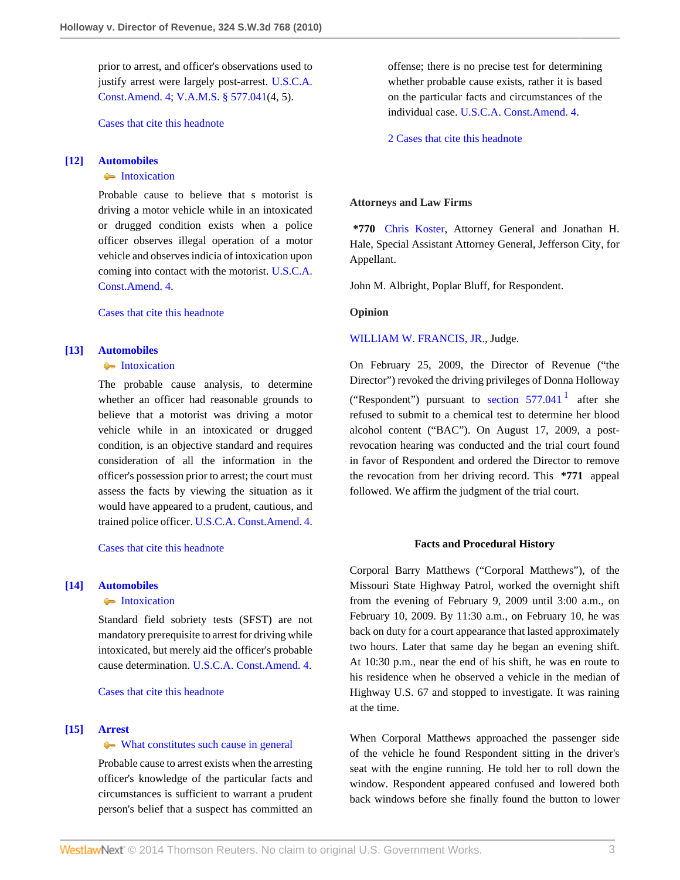prior to arrest, and officer's observations used to justify arrest were largely post-arrest. [U.S.C.A.](http://www.westlaw.com/Link/Document/FullText?findType=L&pubNum=1000546&cite=USCOAMENDIV&originatingDoc=Ie18cca89e0e411df84cb933efb759da4&refType=LQ&originationContext=document&vr=3.0&rs=cblt1.0&transitionType=DocumentItem&contextData=(sc.Search)) [Const.Amend. 4;](http://www.westlaw.com/Link/Document/FullText?findType=L&pubNum=1000546&cite=USCOAMENDIV&originatingDoc=Ie18cca89e0e411df84cb933efb759da4&refType=LQ&originationContext=document&vr=3.0&rs=cblt1.0&transitionType=DocumentItem&contextData=(sc.Search)) [V.A.M.S. § 577.041](http://www.westlaw.com/Link/Document/FullText?findType=L&pubNum=1000229&cite=MOST577.041&originatingDoc=Ie18cca89e0e411df84cb933efb759da4&refType=LQ&originationContext=document&vr=3.0&rs=cblt1.0&transitionType=DocumentItem&contextData=(sc.Search))(4, 5).

[Cases that cite this headnote](http://www.westlaw.com/Link/RelatedInformation/DocHeadnoteLink?docGuid=Ie18cca89e0e411df84cb933efb759da4&headnoteId=202346781101120110206132609&originationContext=document&vr=3.0&rs=cblt1.0&transitionType=CitingReferences&contextData=(sc.Search))

### <span id="page-2-0"></span>**[\[12\]](#page-5-1) [Automobiles](http://www.westlaw.com/Browse/Home/KeyNumber/48A/View.html?docGuid=Ie18cca89e0e411df84cb933efb759da4&originationContext=document&vr=3.0&rs=cblt1.0&transitionType=DocumentItem&contextData=(sc.Search))**

# **[Intoxication](http://www.westlaw.com/Browse/Home/KeyNumber/48Ak349(6)/View.html?docGuid=Ie18cca89e0e411df84cb933efb759da4&originationContext=document&vr=3.0&rs=cblt1.0&transitionType=DocumentItem&contextData=(sc.Search))**

Probable cause to believe that s motorist is driving a motor vehicle while in an intoxicated or drugged condition exists when a police officer observes illegal operation of a motor vehicle and observes indicia of intoxication upon coming into contact with the motorist. [U.S.C.A.](http://www.westlaw.com/Link/Document/FullText?findType=L&pubNum=1000546&cite=USCOAMENDIV&originatingDoc=Ie18cca89e0e411df84cb933efb759da4&refType=LQ&originationContext=document&vr=3.0&rs=cblt1.0&transitionType=DocumentItem&contextData=(sc.Search)) [Const.Amend. 4.](http://www.westlaw.com/Link/Document/FullText?findType=L&pubNum=1000546&cite=USCOAMENDIV&originatingDoc=Ie18cca89e0e411df84cb933efb759da4&refType=LQ&originationContext=document&vr=3.0&rs=cblt1.0&transitionType=DocumentItem&contextData=(sc.Search))

[Cases that cite this headnote](http://www.westlaw.com/Link/RelatedInformation/DocHeadnoteLink?docGuid=Ie18cca89e0e411df84cb933efb759da4&headnoteId=202346781101220110206132609&originationContext=document&vr=3.0&rs=cblt1.0&transitionType=CitingReferences&contextData=(sc.Search))

# <span id="page-2-1"></span>**[\[13\]](#page-5-2) [Automobiles](http://www.westlaw.com/Browse/Home/KeyNumber/48A/View.html?docGuid=Ie18cca89e0e411df84cb933efb759da4&originationContext=document&vr=3.0&rs=cblt1.0&transitionType=DocumentItem&contextData=(sc.Search))**

# **[Intoxication](http://www.westlaw.com/Browse/Home/KeyNumber/48Ak349(6)/View.html?docGuid=Ie18cca89e0e411df84cb933efb759da4&originationContext=document&vr=3.0&rs=cblt1.0&transitionType=DocumentItem&contextData=(sc.Search))**

The probable cause analysis, to determine whether an officer had reasonable grounds to believe that a motorist was driving a motor vehicle while in an intoxicated or drugged condition, is an objective standard and requires consideration of all the information in the officer's possession prior to arrest; the court must assess the facts by viewing the situation as it would have appeared to a prudent, cautious, and trained police officer. [U.S.C.A. Const.Amend. 4](http://www.westlaw.com/Link/Document/FullText?findType=L&pubNum=1000546&cite=USCOAMENDIV&originatingDoc=Ie18cca89e0e411df84cb933efb759da4&refType=LQ&originationContext=document&vr=3.0&rs=cblt1.0&transitionType=DocumentItem&contextData=(sc.Search)).

[Cases that cite this headnote](http://www.westlaw.com/Link/RelatedInformation/DocHeadnoteLink?docGuid=Ie18cca89e0e411df84cb933efb759da4&headnoteId=202346781101320110206132609&originationContext=document&vr=3.0&rs=cblt1.0&transitionType=CitingReferences&contextData=(sc.Search))

# <span id="page-2-2"></span>**[\[14\]](#page-5-3) [Automobiles](http://www.westlaw.com/Browse/Home/KeyNumber/48A/View.html?docGuid=Ie18cca89e0e411df84cb933efb759da4&originationContext=document&vr=3.0&rs=cblt1.0&transitionType=DocumentItem&contextData=(sc.Search))**

#### [Intoxication](http://www.westlaw.com/Browse/Home/KeyNumber/48Ak349(6)/View.html?docGuid=Ie18cca89e0e411df84cb933efb759da4&originationContext=document&vr=3.0&rs=cblt1.0&transitionType=DocumentItem&contextData=(sc.Search))

Standard field sobriety tests (SFST) are not mandatory prerequisite to arrest for driving while intoxicated, but merely aid the officer's probable cause determination. [U.S.C.A. Const.Amend. 4](http://www.westlaw.com/Link/Document/FullText?findType=L&pubNum=1000546&cite=USCOAMENDIV&originatingDoc=Ie18cca89e0e411df84cb933efb759da4&refType=LQ&originationContext=document&vr=3.0&rs=cblt1.0&transitionType=DocumentItem&contextData=(sc.Search)).

[Cases that cite this headnote](http://www.westlaw.com/Link/RelatedInformation/DocHeadnoteLink?docGuid=Ie18cca89e0e411df84cb933efb759da4&headnoteId=202346781101420110206132609&originationContext=document&vr=3.0&rs=cblt1.0&transitionType=CitingReferences&contextData=(sc.Search))

#### <span id="page-2-3"></span>**[\[15\]](#page-5-4) [Arrest](http://www.westlaw.com/Browse/Home/KeyNumber/35/View.html?docGuid=Ie18cca89e0e411df84cb933efb759da4&originationContext=document&vr=3.0&rs=cblt1.0&transitionType=DocumentItem&contextData=(sc.Search))**

# [What constitutes such cause in general](http://www.westlaw.com/Browse/Home/KeyNumber/35k63.4(2)/View.html?docGuid=Ie18cca89e0e411df84cb933efb759da4&originationContext=document&vr=3.0&rs=cblt1.0&transitionType=DocumentItem&contextData=(sc.Search))

Probable cause to arrest exists when the arresting officer's knowledge of the particular facts and circumstances is sufficient to warrant a prudent person's belief that a suspect has committed an offense; there is no precise test for determining whether probable cause exists, rather it is based on the particular facts and circumstances of the individual case. [U.S.C.A. Const.Amend. 4](http://www.westlaw.com/Link/Document/FullText?findType=L&pubNum=1000546&cite=USCOAMENDIV&originatingDoc=Ie18cca89e0e411df84cb933efb759da4&refType=LQ&originationContext=document&vr=3.0&rs=cblt1.0&transitionType=DocumentItem&contextData=(sc.Search)).

[2 Cases that cite this headnote](http://www.westlaw.com/Link/RelatedInformation/DocHeadnoteLink?docGuid=Ie18cca89e0e411df84cb933efb759da4&headnoteId=202346781101520110206132609&originationContext=document&vr=3.0&rs=cblt1.0&transitionType=CitingReferences&contextData=(sc.Search))

#### **Attorneys and Law Firms**

**\*770** [Chris Koster,](http://www.westlaw.com/Link/Document/FullText?findType=h&pubNum=176284&cite=0369913201&originatingDoc=Ie18cca89e0e411df84cb933efb759da4&refType=RQ&originationContext=document&vr=3.0&rs=cblt1.0&transitionType=DocumentItem&contextData=(sc.Search)) Attorney General and Jonathan H. Hale, Special Assistant Attorney General, Jefferson City, for Appellant.

John M. Albright, Poplar Bluff, for Respondent.

**Opinion**

#### [WILLIAM W. FRANCIS, JR.,](http://www.westlaw.com/Link/Document/FullText?findType=h&pubNum=176284&cite=0127991001&originatingDoc=Ie18cca89e0e411df84cb933efb759da4&refType=RQ&originationContext=document&vr=3.0&rs=cblt1.0&transitionType=DocumentItem&contextData=(sc.Search)) Judge.

On February 25, 2009, the Director of Revenue ("the Director") revoked the driving privileges of Donna Holloway ("Respondent") pursuant to section  $577.041<sup>1</sup>$  $577.041<sup>1</sup>$  $577.041<sup>1</sup>$  after she refused to submit to a chemical test to determine her blood alcohol content ("BAC"). On August 17, 2009, a postrevocation hearing was conducted and the trial court found in favor of Respondent and ordered the Director to remove the revocation from her driving record. This **\*771** appeal followed. We affirm the judgment of the trial court.

### <span id="page-2-4"></span>**Facts and Procedural History**

Corporal Barry Matthews ("Corporal Matthews"), of the Missouri State Highway Patrol, worked the overnight shift from the evening of February 9, 2009 until 3:00 a.m., on February 10, 2009. By 11:30 a.m., on February 10, he was back on duty for a court appearance that lasted approximately two hours. Later that same day he began an evening shift. At 10:30 p.m., near the end of his shift, he was en route to his residence when he observed a vehicle in the median of Highway U.S. 67 and stopped to investigate. It was raining at the time.

When Corporal Matthews approached the passenger side of the vehicle he found Respondent sitting in the driver's seat with the engine running. He told her to roll down the window. Respondent appeared confused and lowered both back windows before she finally found the button to lower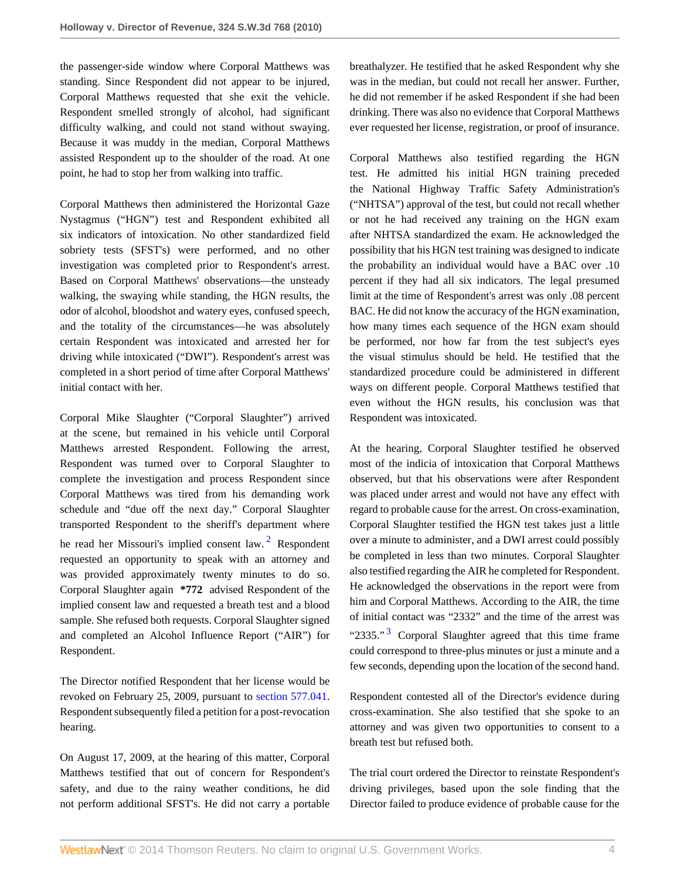the passenger-side window where Corporal Matthews was standing. Since Respondent did not appear to be injured, Corporal Matthews requested that she exit the vehicle. Respondent smelled strongly of alcohol, had significant difficulty walking, and could not stand without swaying. Because it was muddy in the median, Corporal Matthews assisted Respondent up to the shoulder of the road. At one point, he had to stop her from walking into traffic.

Corporal Matthews then administered the Horizontal Gaze Nystagmus ("HGN") test and Respondent exhibited all six indicators of intoxication. No other standardized field sobriety tests (SFST's) were performed, and no other investigation was completed prior to Respondent's arrest. Based on Corporal Matthews' observations—the unsteady walking, the swaying while standing, the HGN results, the odor of alcohol, bloodshot and watery eyes, confused speech, and the totality of the circumstances—he was absolutely certain Respondent was intoxicated and arrested her for driving while intoxicated ("DWI"). Respondent's arrest was completed in a short period of time after Corporal Matthews' initial contact with her.

Corporal Mike Slaughter ("Corporal Slaughter") arrived at the scene, but remained in his vehicle until Corporal Matthews arrested Respondent. Following the arrest, Respondent was turned over to Corporal Slaughter to complete the investigation and process Respondent since Corporal Matthews was tired from his demanding work schedule and "due off the next day." Corporal Slaughter transported Respondent to the sheriff's department where he read her Missouri's implied consent law.<sup>[2](#page-6-1)</sup> Respondent requested an opportunity to speak with an attorney and was provided approximately twenty minutes to do so. Corporal Slaughter again **\*772** advised Respondent of the implied consent law and requested a breath test and a blood sample. She refused both requests. Corporal Slaughter signed and completed an Alcohol Influence Report ("AIR") for Respondent.

The Director notified Respondent that her license would be revoked on February 25, 2009, pursuant to [section 577.041](http://www.westlaw.com/Link/Document/FullText?findType=L&pubNum=1000229&cite=MOST577.041&originatingDoc=Ie18cca89e0e411df84cb933efb759da4&refType=LQ&originationContext=document&vr=3.0&rs=cblt1.0&transitionType=DocumentItem&contextData=(sc.Search)). Respondent subsequently filed a petition for a post-revocation hearing.

On August 17, 2009, at the hearing of this matter, Corporal Matthews testified that out of concern for Respondent's safety, and due to the rainy weather conditions, he did not perform additional SFST's. He did not carry a portable breathalyzer. He testified that he asked Respondent why she was in the median, but could not recall her answer. Further, he did not remember if he asked Respondent if she had been drinking. There was also no evidence that Corporal Matthews ever requested her license, registration, or proof of insurance.

Corporal Matthews also testified regarding the HGN test. He admitted his initial HGN training preceded the National Highway Traffic Safety Administration's ("NHTSA") approval of the test, but could not recall whether or not he had received any training on the HGN exam after NHTSA standardized the exam. He acknowledged the possibility that his HGN test training was designed to indicate the probability an individual would have a BAC over .10 percent if they had all six indicators. The legal presumed limit at the time of Respondent's arrest was only .08 percent BAC. He did not know the accuracy of the HGN examination, how many times each sequence of the HGN exam should be performed, nor how far from the test subject's eyes the visual stimulus should be held. He testified that the standardized procedure could be administered in different ways on different people. Corporal Matthews testified that even without the HGN results, his conclusion was that Respondent was intoxicated.

<span id="page-3-0"></span>At the hearing, Corporal Slaughter testified he observed most of the indicia of intoxication that Corporal Matthews observed, but that his observations were after Respondent was placed under arrest and would not have any effect with regard to probable cause for the arrest. On cross-examination, Corporal Slaughter testified the HGN test takes just a little over a minute to administer, and a DWI arrest could possibly be completed in less than two minutes. Corporal Slaughter also testified regarding the AIR he completed for Respondent. He acknowledged the observations in the report were from him and Corporal Matthews. According to the AIR, the time of initial contact was "2332" and the time of the arrest was "2[3](#page-6-2)35."<sup>3</sup> Corporal Slaughter agreed that this time frame could correspond to three-plus minutes or just a minute and a few seconds, depending upon the location of the second hand.

<span id="page-3-1"></span>Respondent contested all of the Director's evidence during cross-examination. She also testified that she spoke to an attorney and was given two opportunities to consent to a breath test but refused both.

The trial court ordered the Director to reinstate Respondent's driving privileges, based upon the sole finding that the Director failed to produce evidence of probable cause for the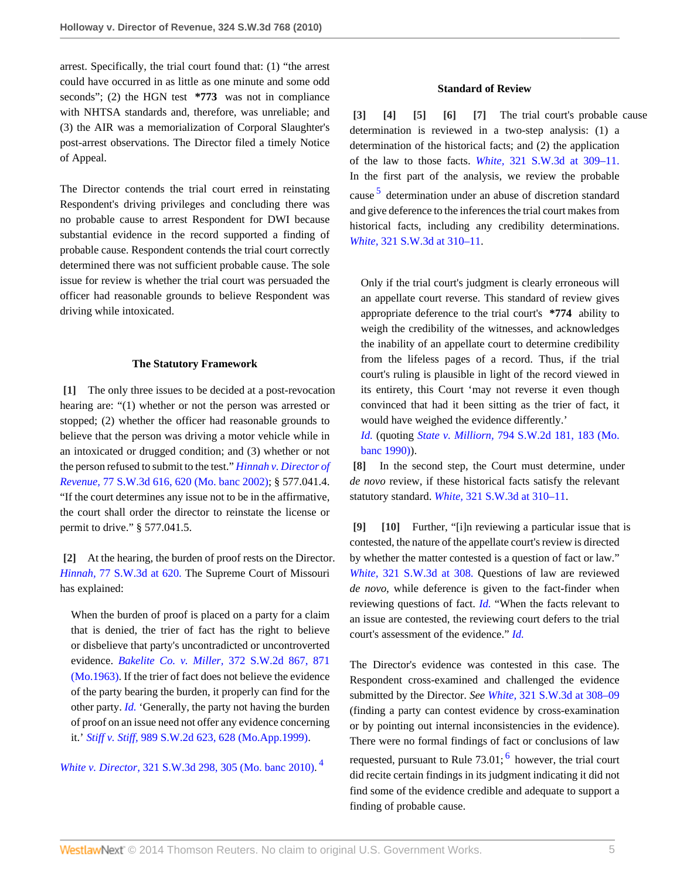arrest. Specifically, the trial court found that: (1) "the arrest could have occurred in as little as one minute and some odd seconds"; (2) the HGN test **\*773** was not in compliance with NHTSA standards and, therefore, was unreliable; and (3) the AIR was a memorialization of Corporal Slaughter's post-arrest observations. The Director filed a timely Notice of Appeal.

The Director contends the trial court erred in reinstating Respondent's driving privileges and concluding there was no probable cause to arrest Respondent for DWI because substantial evidence in the record supported a finding of probable cause. Respondent contends the trial court correctly determined there was not sufficient probable cause. The sole issue for review is whether the trial court was persuaded the officer had reasonable grounds to believe Respondent was driving while intoxicated.

### **The Statutory Framework**

<span id="page-4-0"></span>**[\[1\]](#page-0-0)** The only three issues to be decided at a post-revocation hearing are: "(1) whether or not the person was arrested or stopped; (2) whether the officer had reasonable grounds to believe that the person was driving a motor vehicle while in an intoxicated or drugged condition; and (3) whether or not the person refused to submit to the test." *[Hinnah v. Director of](http://www.westlaw.com/Link/Document/FullText?findType=Y&serNum=2002392519&pubNum=4644&fi=co_pp_sp_4644_620&originationContext=document&vr=3.0&rs=cblt1.0&transitionType=DocumentItem&contextData=(sc.Search)#co_pp_sp_4644_620) Revenue,* [77 S.W.3d 616, 620 \(Mo. banc 2002\);](http://www.westlaw.com/Link/Document/FullText?findType=Y&serNum=2002392519&pubNum=4644&fi=co_pp_sp_4644_620&originationContext=document&vr=3.0&rs=cblt1.0&transitionType=DocumentItem&contextData=(sc.Search)#co_pp_sp_4644_620) § 577.041.4. "If the court determines any issue not to be in the affirmative, the court shall order the director to reinstate the license or permit to drive." § 577.041.5.

<span id="page-4-1"></span>**[\[2\]](#page-0-1)** At the hearing, the burden of proof rests on the Director. *Hinnah,* [77 S.W.3d at 620.](http://www.westlaw.com/Link/Document/FullText?findType=Y&serNum=2002392519&pubNum=4644&fi=co_pp_sp_4644_620&originationContext=document&vr=3.0&rs=cblt1.0&transitionType=DocumentItem&contextData=(sc.Search)#co_pp_sp_4644_620) The Supreme Court of Missouri has explained:

When the burden of proof is placed on a party for a claim that is denied, the trier of fact has the right to believe or disbelieve that party's uncontradicted or uncontroverted evidence. *Bakelite Co. v. Miller,* [372 S.W.2d 867, 871](http://www.westlaw.com/Link/Document/FullText?findType=Y&serNum=1963129099&pubNum=713&fi=co_pp_sp_713_871&originationContext=document&vr=3.0&rs=cblt1.0&transitionType=DocumentItem&contextData=(sc.Search)#co_pp_sp_713_871) [\(Mo.1963\)](http://www.westlaw.com/Link/Document/FullText?findType=Y&serNum=1963129099&pubNum=713&fi=co_pp_sp_713_871&originationContext=document&vr=3.0&rs=cblt1.0&transitionType=DocumentItem&contextData=(sc.Search)#co_pp_sp_713_871). If the trier of fact does not believe the evidence of the party bearing the burden, it properly can find for the other party. *[Id.](http://www.westlaw.com/Link/Document/FullText?findType=Y&serNum=1963129099&originationContext=document&vr=3.0&rs=cblt1.0&transitionType=DocumentItem&contextData=(sc.Search))* 'Generally, the party not having the burden of proof on an issue need not offer any evidence concerning it.' *Stiff v. Stiff,* [989 S.W.2d 623, 628 \(Mo.App.1999\)](http://www.westlaw.com/Link/Document/FullText?findType=Y&serNum=1999085871&pubNum=713&fi=co_pp_sp_713_628&originationContext=document&vr=3.0&rs=cblt1.0&transitionType=DocumentItem&contextData=(sc.Search)#co_pp_sp_713_628).

*White v. Director,* [321 S.W.3d 298, 305 \(Mo. banc 2010\)](http://www.westlaw.com/Link/Document/FullText?findType=Y&serNum=2022811102&pubNum=4644&fi=co_pp_sp_4644_305&originationContext=document&vr=3.0&rs=cblt1.0&transitionType=DocumentItem&contextData=(sc.Search)#co_pp_sp_4644_305). [4](#page-6-3)

# <span id="page-4-6"></span><span id="page-4-5"></span><span id="page-4-4"></span><span id="page-4-3"></span>**Standard of Review**

<span id="page-4-11"></span><span id="page-4-2"></span>**[\[3\]](#page-0-2) [\[4\]](#page-0-3) [\[5\]](#page-1-1) [\[6\]](#page-1-2) [\[7\]](#page-1-3)** The trial court's probable cause determination is reviewed in a two-step analysis: (1) a determination of the historical facts; and (2) the application of the law to those facts. *White,* [321 S.W.3d at 309–11.](http://www.westlaw.com/Link/Document/FullText?findType=Y&serNum=2022811102&pubNum=4644&fi=co_pp_sp_4644_309&originationContext=document&vr=3.0&rs=cblt1.0&transitionType=DocumentItem&contextData=(sc.Search)#co_pp_sp_4644_309) In the first part of the analysis, we review the probable cause <sup>[5](#page-6-4)</sup> determination under an abuse of discretion standard and give deference to the inferences the trial court makes from historical facts, including any credibility determinations. *White,* [321 S.W.3d at 310–11](http://www.westlaw.com/Link/Document/FullText?findType=Y&serNum=2022811102&pubNum=4644&fi=co_pp_sp_4644_310&originationContext=document&vr=3.0&rs=cblt1.0&transitionType=DocumentItem&contextData=(sc.Search)#co_pp_sp_4644_310).

Only if the trial court's judgment is clearly erroneous will an appellate court reverse. This standard of review gives appropriate deference to the trial court's **\*774** ability to weigh the credibility of the witnesses, and acknowledges the inability of an appellate court to determine credibility from the lifeless pages of a record. Thus, if the trial court's ruling is plausible in light of the record viewed in its entirety, this Court 'may not reverse it even though convinced that had it been sitting as the trier of fact, it would have weighed the evidence differently.'

*[Id.](http://www.westlaw.com/Link/Document/FullText?findType=Y&serNum=2022811102&originationContext=document&vr=3.0&rs=cblt1.0&transitionType=DocumentItem&contextData=(sc.Search))* (quoting *State v. Milliorn,* [794 S.W.2d 181, 183 \(Mo.](http://www.westlaw.com/Link/Document/FullText?findType=Y&serNum=1990116475&pubNum=713&fi=co_pp_sp_713_183&originationContext=document&vr=3.0&rs=cblt1.0&transitionType=DocumentItem&contextData=(sc.Search)#co_pp_sp_713_183) [banc 1990\)\)](http://www.westlaw.com/Link/Document/FullText?findType=Y&serNum=1990116475&pubNum=713&fi=co_pp_sp_713_183&originationContext=document&vr=3.0&rs=cblt1.0&transitionType=DocumentItem&contextData=(sc.Search)#co_pp_sp_713_183).

<span id="page-4-7"></span>**[\[8\]](#page-1-4)** In the second step, the Court must determine, under *de novo* review, if these historical facts satisfy the relevant statutory standard. *White,* [321 S.W.3d at 310–11](http://www.westlaw.com/Link/Document/FullText?findType=Y&serNum=2022811102&pubNum=4644&fi=co_pp_sp_4644_310&originationContext=document&vr=3.0&rs=cblt1.0&transitionType=DocumentItem&contextData=(sc.Search)#co_pp_sp_4644_310).

<span id="page-4-9"></span><span id="page-4-8"></span>**[\[9\]](#page-1-5) [\[10](#page-1-6)]** Further, "[i]n reviewing a particular issue that is contested, the nature of the appellate court's review is directed by whether the matter contested is a question of fact or law." *White,* [321 S.W.3d at 308.](http://www.westlaw.com/Link/Document/FullText?findType=Y&serNum=2022811102&pubNum=4644&fi=co_pp_sp_4644_308&originationContext=document&vr=3.0&rs=cblt1.0&transitionType=DocumentItem&contextData=(sc.Search)#co_pp_sp_4644_308) Questions of law are reviewed *de novo,* while deference is given to the fact-finder when reviewing questions of fact. *[Id.](http://www.westlaw.com/Link/Document/FullText?findType=Y&serNum=2022811102&originationContext=document&vr=3.0&rs=cblt1.0&transitionType=DocumentItem&contextData=(sc.Search))* "When the facts relevant to an issue are contested, the reviewing court defers to the trial court's assessment of the evidence." *[Id.](http://www.westlaw.com/Link/Document/FullText?findType=Y&serNum=2022811102&originationContext=document&vr=3.0&rs=cblt1.0&transitionType=DocumentItem&contextData=(sc.Search))*

<span id="page-4-12"></span><span id="page-4-10"></span>The Director's evidence was contested in this case. The Respondent cross-examined and challenged the evidence submitted by the Director. *See White,* [321 S.W.3d at 308–09](http://www.westlaw.com/Link/Document/FullText?findType=Y&serNum=2022811102&pubNum=4644&fi=co_pp_sp_4644_308&originationContext=document&vr=3.0&rs=cblt1.0&transitionType=DocumentItem&contextData=(sc.Search)#co_pp_sp_4644_308) (finding a party can contest evidence by cross-examination or by pointing out internal inconsistencies in the evidence). There were no formal findings of fact or conclusions of law requested, pursuant to Rule 73.01;<sup>[6](#page-6-5)</sup> however, the trial court did recite certain findings in its judgment indicating it did not find some of the evidence credible and adequate to support a finding of probable cause.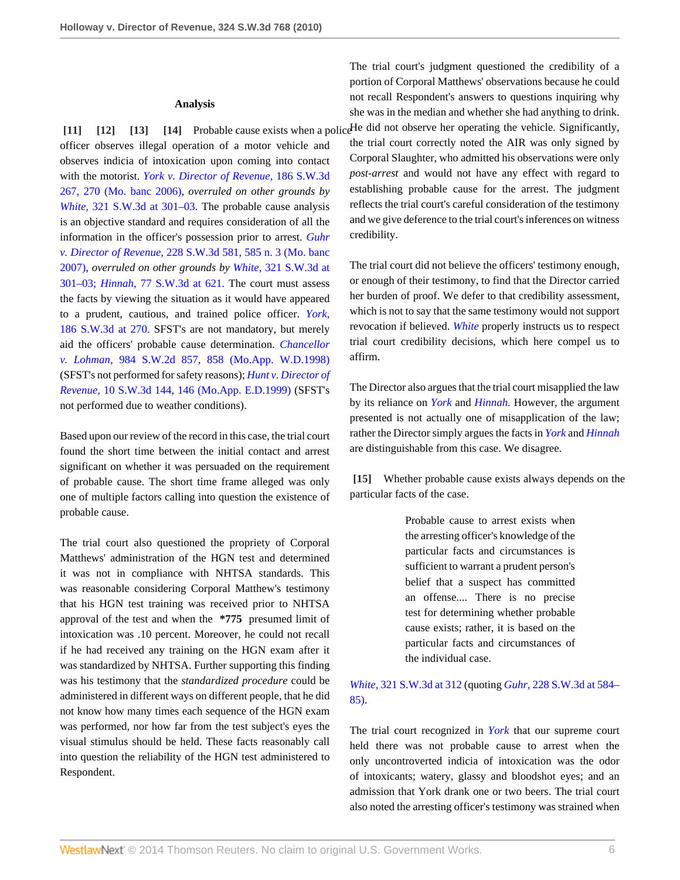### <span id="page-5-3"></span><span id="page-5-2"></span><span id="page-5-1"></span>**Analysis**

<span id="page-5-0"></span>officer observes illegal operation of a motor vehicle and observes indicia of intoxication upon coming into contact with the motorist. *[York v. Director of Revenue,](http://www.westlaw.com/Link/Document/FullText?findType=Y&serNum=2008726799&pubNum=4644&fi=co_pp_sp_4644_270&originationContext=document&vr=3.0&rs=cblt1.0&transitionType=DocumentItem&contextData=(sc.Search)#co_pp_sp_4644_270)* 186 S.W.3d [267, 270 \(Mo. banc 2006\)](http://www.westlaw.com/Link/Document/FullText?findType=Y&serNum=2008726799&pubNum=4644&fi=co_pp_sp_4644_270&originationContext=document&vr=3.0&rs=cblt1.0&transitionType=DocumentItem&contextData=(sc.Search)#co_pp_sp_4644_270), *overruled on other grounds by White,* [321 S.W.3d at 301–03.](http://www.westlaw.com/Link/Document/FullText?findType=Y&serNum=2022811102&pubNum=4644&fi=co_pp_sp_4644_301&originationContext=document&vr=3.0&rs=cblt1.0&transitionType=DocumentItem&contextData=(sc.Search)#co_pp_sp_4644_301) The probable cause analysis is an objective standard and requires consideration of all the information in the officer's possession prior to arrest. *[Guhr](http://www.westlaw.com/Link/Document/FullText?findType=Y&serNum=2012546101&pubNum=4644&fi=co_pp_sp_4644_585&originationContext=document&vr=3.0&rs=cblt1.0&transitionType=DocumentItem&contextData=(sc.Search)#co_pp_sp_4644_585) v. Director of Revenue,* [228 S.W.3d 581, 585 n. 3 \(Mo. banc](http://www.westlaw.com/Link/Document/FullText?findType=Y&serNum=2012546101&pubNum=4644&fi=co_pp_sp_4644_585&originationContext=document&vr=3.0&rs=cblt1.0&transitionType=DocumentItem&contextData=(sc.Search)#co_pp_sp_4644_585) [2007\)](http://www.westlaw.com/Link/Document/FullText?findType=Y&serNum=2012546101&pubNum=4644&fi=co_pp_sp_4644_585&originationContext=document&vr=3.0&rs=cblt1.0&transitionType=DocumentItem&contextData=(sc.Search)#co_pp_sp_4644_585), *overruled on other grounds by White,* [321 S.W.3d at](http://www.westlaw.com/Link/Document/FullText?findType=Y&serNum=2022811102&pubNum=4644&fi=co_pp_sp_4644_301&originationContext=document&vr=3.0&rs=cblt1.0&transitionType=DocumentItem&contextData=(sc.Search)#co_pp_sp_4644_301) [301–03;](http://www.westlaw.com/Link/Document/FullText?findType=Y&serNum=2022811102&pubNum=4644&fi=co_pp_sp_4644_301&originationContext=document&vr=3.0&rs=cblt1.0&transitionType=DocumentItem&contextData=(sc.Search)#co_pp_sp_4644_301) *Hinnah,* [77 S.W.3d at 621.](http://www.westlaw.com/Link/Document/FullText?findType=Y&serNum=2002392519&pubNum=4644&fi=co_pp_sp_4644_621&originationContext=document&vr=3.0&rs=cblt1.0&transitionType=DocumentItem&contextData=(sc.Search)#co_pp_sp_4644_621) The court must assess the facts by viewing the situation as it would have appeared to a prudent, cautious, and trained police officer. *[York,](http://www.westlaw.com/Link/Document/FullText?findType=Y&serNum=2008726799&pubNum=4644&fi=co_pp_sp_4644_270&originationContext=document&vr=3.0&rs=cblt1.0&transitionType=DocumentItem&contextData=(sc.Search)#co_pp_sp_4644_270)* [186 S.W.3d at 270.](http://www.westlaw.com/Link/Document/FullText?findType=Y&serNum=2008726799&pubNum=4644&fi=co_pp_sp_4644_270&originationContext=document&vr=3.0&rs=cblt1.0&transitionType=DocumentItem&contextData=(sc.Search)#co_pp_sp_4644_270) SFST's are not mandatory, but merely aid the officers' probable cause determination. *[Chancellor](http://www.westlaw.com/Link/Document/FullText?findType=Y&serNum=1998187634&pubNum=713&fi=co_pp_sp_713_858&originationContext=document&vr=3.0&rs=cblt1.0&transitionType=DocumentItem&contextData=(sc.Search)#co_pp_sp_713_858) v. Lohman,* [984 S.W.2d 857, 858 \(Mo.App. W.D.1998\)](http://www.westlaw.com/Link/Document/FullText?findType=Y&serNum=1998187634&pubNum=713&fi=co_pp_sp_713_858&originationContext=document&vr=3.0&rs=cblt1.0&transitionType=DocumentItem&contextData=(sc.Search)#co_pp_sp_713_858) (SFST's not performed for safety reasons); *[Hunt v. Director of](http://www.westlaw.com/Link/Document/FullText?findType=Y&serNum=1999181450&pubNum=4644&fi=co_pp_sp_4644_146&originationContext=document&vr=3.0&rs=cblt1.0&transitionType=DocumentItem&contextData=(sc.Search)#co_pp_sp_4644_146) Revenue,* [10 S.W.3d 144, 146 \(Mo.App. E.D.1999\)](http://www.westlaw.com/Link/Document/FullText?findType=Y&serNum=1999181450&pubNum=4644&fi=co_pp_sp_4644_146&originationContext=document&vr=3.0&rs=cblt1.0&transitionType=DocumentItem&contextData=(sc.Search)#co_pp_sp_4644_146) (SFST's not performed due to weather conditions).

Based upon our review of the record in this case, the trial court found the short time between the initial contact and arrest significant on whether it was persuaded on the requirement of probable cause. The short time frame alleged was only one of multiple factors calling into question the existence of probable cause.

The trial court also questioned the propriety of Corporal Matthews' administration of the HGN test and determined it was not in compliance with NHTSA standards. This was reasonable considering Corporal Matthew's testimony that his HGN test training was received prior to NHTSA approval of the test and when the **\*775** presumed limit of intoxication was .10 percent. Moreover, he could not recall if he had received any training on the HGN exam after it was standardized by NHTSA. Further supporting this finding was his testimony that the *standardized procedure* could be administered in different ways on different people, that he did not know how many times each sequence of the HGN exam was performed, nor how far from the test subject's eyes the visual stimulus should be held. These facts reasonably call into question the reliability of the HGN test administered to Respondent.

**[\[11\]](#page-1-0) [\[12\]](#page-2-0) [\[13\]](#page-2-1) [\[14\]](#page-2-2)** Probable cause exists when a police He did not observe her operating the vehicle. Significantly, The trial court's judgment questioned the credibility of a portion of Corporal Matthews' observations because he could not recall Respondent's answers to questions inquiring why she was in the median and whether she had anything to drink. the trial court correctly noted the AIR was only signed by Corporal Slaughter, who admitted his observations were only *post-arrest* and would not have any effect with regard to establishing probable cause for the arrest. The judgment reflects the trial court's careful consideration of the testimony and we give deference to the trial court's inferences on witness credibility.

> The trial court did not believe the officers' testimony enough, or enough of their testimony, to find that the Director carried her burden of proof. We defer to that credibility assessment, which is not to say that the same testimony would not support revocation if believed. *[White](http://www.westlaw.com/Link/Document/FullText?findType=Y&serNum=2022811102&originationContext=document&vr=3.0&rs=cblt1.0&transitionType=DocumentItem&contextData=(sc.Search))* properly instructs us to respect trial court credibility decisions, which here compel us to affirm.

> The Director also argues that the trial court misapplied the law by its reliance on *[York](http://www.westlaw.com/Link/Document/FullText?findType=Y&serNum=2008726799&originationContext=document&vr=3.0&rs=cblt1.0&transitionType=DocumentItem&contextData=(sc.Search))* and *[Hinnah.](http://www.westlaw.com/Link/Document/FullText?findType=Y&serNum=2002392519&originationContext=document&vr=3.0&rs=cblt1.0&transitionType=DocumentItem&contextData=(sc.Search))* However, the argument presented is not actually one of misapplication of the law; rather the Director simply argues the facts in *[York](http://www.westlaw.com/Link/Document/FullText?findType=Y&serNum=2008726799&originationContext=document&vr=3.0&rs=cblt1.0&transitionType=DocumentItem&contextData=(sc.Search))* and *[Hinnah](http://www.westlaw.com/Link/Document/FullText?findType=Y&serNum=2002392519&originationContext=document&vr=3.0&rs=cblt1.0&transitionType=DocumentItem&contextData=(sc.Search))* are distinguishable from this case. We disagree.

<span id="page-5-4"></span>**[\[15\]](#page-2-3)** Whether probable cause exists always depends on the particular facts of the case.

> Probable cause to arrest exists when the arresting officer's knowledge of the particular facts and circumstances is sufficient to warrant a prudent person's belief that a suspect has committed an offense.... There is no precise test for determining whether probable cause exists; rather, it is based on the particular facts and circumstances of the individual case.

*White,* [321 S.W.3d at 312](http://www.westlaw.com/Link/Document/FullText?findType=Y&serNum=2022811102&pubNum=4644&fi=co_pp_sp_4644_312&originationContext=document&vr=3.0&rs=cblt1.0&transitionType=DocumentItem&contextData=(sc.Search)#co_pp_sp_4644_312) (quoting *Guhr,* [228 S.W.3d at 584–](http://www.westlaw.com/Link/Document/FullText?findType=Y&serNum=2012546101&pubNum=4644&fi=co_pp_sp_4644_584&originationContext=document&vr=3.0&rs=cblt1.0&transitionType=DocumentItem&contextData=(sc.Search)#co_pp_sp_4644_584) [85\)](http://www.westlaw.com/Link/Document/FullText?findType=Y&serNum=2012546101&pubNum=4644&fi=co_pp_sp_4644_584&originationContext=document&vr=3.0&rs=cblt1.0&transitionType=DocumentItem&contextData=(sc.Search)#co_pp_sp_4644_584).

The trial court recognized in *[York](http://www.westlaw.com/Link/Document/FullText?findType=Y&serNum=2008726799&originationContext=document&vr=3.0&rs=cblt1.0&transitionType=DocumentItem&contextData=(sc.Search))* that our supreme court held there was not probable cause to arrest when the only uncontroverted indicia of intoxication was the odor of intoxicants; watery, glassy and bloodshot eyes; and an admission that York drank one or two beers. The trial court also noted the arresting officer's testimony was strained when